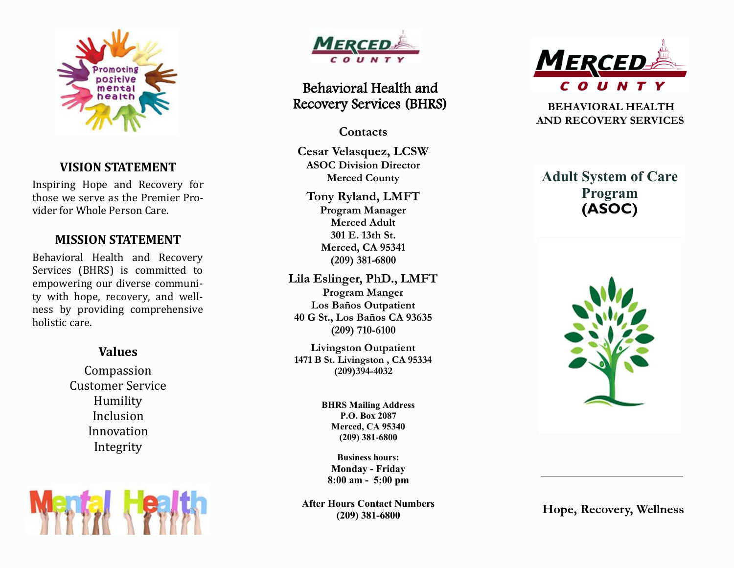

### **VISION STATEMENT**

Inspiring Hope and Recovery for those we serve as the Premier Provider for Whole Person Care.

## **MISSION STATEMENT**

Behavioral Health and Recovery Services (BHRS) is committed to empowering our diverse community with hope, recovery, and wellness by providing comprehensive holistic care.

### **Values**

Compassion Customer Service Humility Inclusion Innovation Integrity





# Behavioral Health and Recovery Services (BHRS)

**Contacts** 

**Cesar Velasquez, LCSW ASOC Division Director Merced County** 

**Tony Ryland, LMFT Program Manager Merced Adult 301 E. 13th St. Merced, CA 95341 (209) 381-6800**

**Lila Eslinger, PhD., LMFT Program Manger Los Baños Outpatient 40 G St., Los Baños CA 93635 (209) 710-6100**

**Livingston Outpatient 1471 B St. Livingston , CA 95334 (209)394-4032**

> **BHRS Mailing Address P.O. Box 2087 Merced, CA 95340 (209) 381 -6800**

**Business hours: Monday - Friday 8:00 am - 5:00 pm**

**After Hours Contact Numbers (209) 381 -6800**



 **BEHAVIORAL HEALTH AND RECOVERY SERVICES** 

# **Adult System of Care Program (ASOC)**



**Hope, Recovery, Wellness**